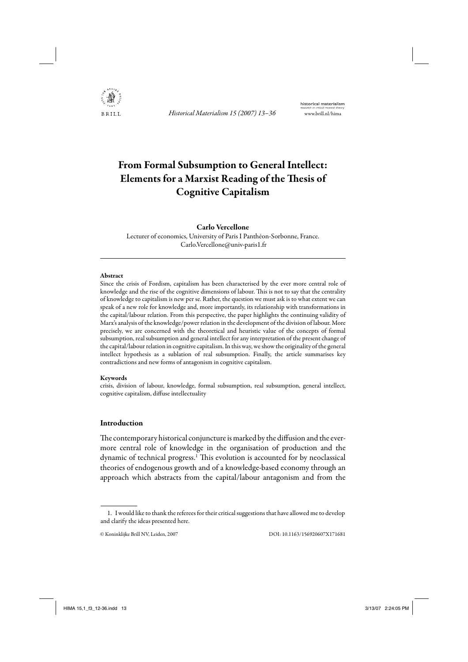

Historical Materialism 15 (2007) 13-36

# **From Formal Subsumption to General Intellect: Elements for a Marxist Reading of the Thesis of Cognitive Capitalism**

#### Carlo Vercellone

Lecturer of economics, University of Paris I Panthéon-Sorbonne, France. Carlo.Vercellone@univ-paris1.fr

#### Abstract

Since the crisis of Fordism, capitalism has been characterised by the ever more central role of knowledge and the rise of the cognitive dimensions of labour. This is not to say that the centrality of knowledge to capitalism is new per se. Rather, the question we must ask is to what extent we can speak of a new role for knowledge and, more importantly, its relationship with transformations in the capital/labour relation. From this perspective, the paper highlights the continuing validity of Marx's analysis of the knowledge/power relation in the development of the division of labour. More precisely, we are concerned with the theoretical and heuristic value of the concepts of formal subsumption, real subsumption and general intellect for any interpretation of the present change of the capital/labour relation in cognitive capitalism. In this way, we show the originality of the general intellect hypothesis as a sublation of real subsumption. Finally, the article summarises key contradictions and new forms of antagonism in cognitive capitalism.

#### Keywords

crisis, division of labour, knowledge, formal subsumption, real subsumption, general intellect, cognitive capitalism, diffuse intellectuality

### **Introduction**

The contemporary historical conjuncture is marked by the diffusion and the evermore central role of knowledge in the organisation of production and the dynamic of technical progress.<sup>1</sup> This evolution is accounted for by neoclassical theories of endogenous growth and of a knowledge-based economy through an approach which abstracts from the capital/labour antagonism and from the

<sup>1.</sup> I would like to thank the referees for their critical suggestions that have allowed me to develop and clarify the ideas presented here.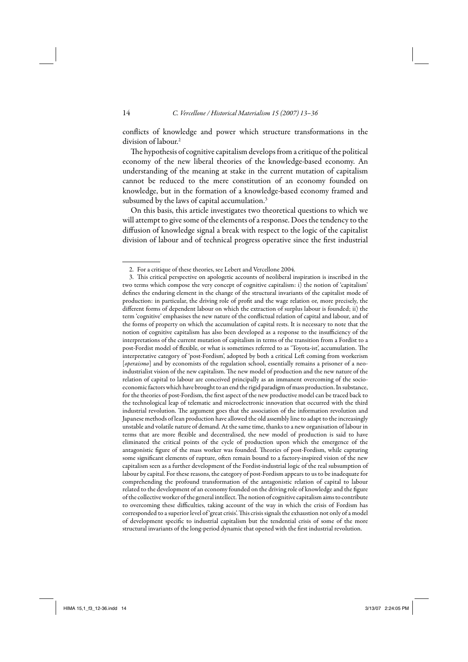conflicts of knowledge and power which structure transformations in the division of labour.<sup>2</sup>

The hypothesis of cognitive capitalism develops from a critique of the political economy of the new liberal theories of the knowledge-based economy. An understanding of the meaning at stake in the current mutation of capitalism cannot be reduced to the mere constitution of an economy founded on knowledge, but in the formation of a knowledge-based economy framed and subsumed by the laws of capital accumulation.<sup>3</sup>

On this basis, this article investigates two theoretical questions to which we will attempt to give some of the elements of a response. Does the tendency to the diffusion of knowledge signal a break with respect to the logic of the capitalist division of labour and of technical progress operative since the first industrial

<sup>2.</sup> For a critique of these theories, see Lebert and Vercellone 2004.

<sup>3.</sup> This critical perspective on apologetic accounts of neoliberal inspiration is inscribed in the two terms which compose the very concept of cognitive capitalism: i) the notion of 'capitalism' defines the enduring element in the change of the structural invariants of the capitalist mode of production: in particular, the driving role of profit and the wage relation or, more precisely, the different forms of dependent labour on which the extraction of surplus labour is founded; ii) the term 'cognitive' emphasises the new nature of the conflictual relation of capital and labour, and of the forms of property on which the accumulation of capital rests. It is necessary to note that the notion of cognitive capitalism has also been developed as a response to the insufficiency of the interpretations of the current mutation of capitalism in terms of the transition from a Fordist to a post-Fordist model of flexible, or what is sometimes referred to as 'Toyota-ist', accumulation. The interpretative category of 'post-Fordism', adopted by both a critical Left coming from workerism [operaismo] and by economists of the regulation school, essentially remains a prisoner of a neoindustrialist vision of the new capitalism. The new model of production and the new nature of the relation of capital to labour are conceived principally as an immanent overcoming of the socioeconomic factors which have brought to an end the rigid paradigm of mass production. In substance, for the theories of post-Fordism, the first aspect of the new productive model can be traced back to the technological leap of telematic and microelectronic innovation that occurred with the third industrial revolution. The argument goes that the association of the information revolution and Japanese methods of lean production have allowed the old assembly line to adapt to the increasingly unstable and volatile nature of demand. At the same time, thanks to a new organisation of labour in terms that are more flexible and decentralised, the new model of production is said to have eliminated the critical points of the cycle of production upon which the emergence of the antagonistic figure of the mass worker was founded. Theories of post-Fordism, while capturing some significant elements of rupture, often remain bound to a factory-inspired vision of the new capitalism seen as a further development of the Fordist-industrial logic of the real subsumption of labour by capital. For these reasons, the category of post-Fordism appears to us to be inadequate for comprehending the profound transformation of the antagonistic relation of capital to labour related to the development of an economy founded on the driving role of knowledge and the figure of the collective worker of the general intellect. The notion of cognitive capitalism aims to contribute to overcoming these difficulties, taking account of the way in which the crisis of Fordism has corresponded to a superior level of 'great crisis'. This crisis signals the exhaustion not only of a model of development specific to industrial capitalism but the tendential crisis of some of the more structural invariants of the long-period dynamic that opened with the first industrial revolution.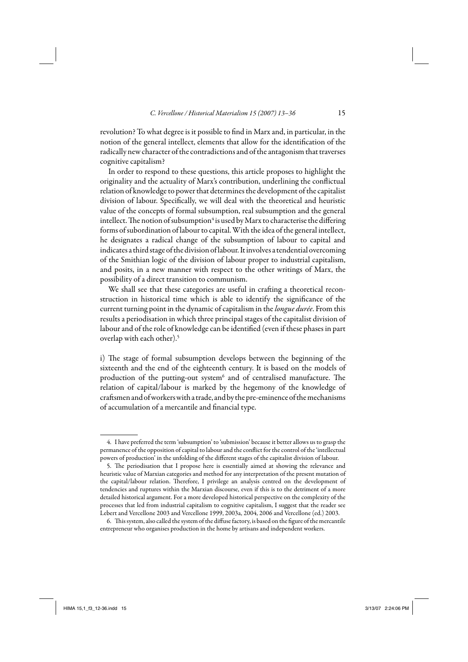revolution? To what degree is it possible to find in Marx and, in particular, in the notion of the general intellect, elements that allow for the identification of the radically new character of the contradictions and of the antagonism that traverses cognitive capitalism?

In order to respond to these questions, this article proposes to highlight the originality and the actuality of Marx's contribution, underlining the conflictual relation of knowledge to power that determines the development of the capitalist division of labour. Specifically, we will deal with the theoretical and heuristic value of the concepts of formal subsumption, real subsumption and the general intellect. The notion of subsumption<sup>4</sup> is used by Marx to characterise the differing forms of subordination of labour to capital. With the idea of the general intellect, he designates a radical change of the subsumption of labour to capital and indicates a third stage of the division of labour. It involves a tendential overcoming of the Smithian logic of the division of labour proper to industrial capitalism, and posits, in a new manner with respect to the other writings of Marx, the possibility of a direct transition to communism.

We shall see that these categories are useful in crafting a theoretical reconstruction in historical time which is able to identify the significance of the current turning point in the dynamic of capitalism in the longue durée. From this results a periodisation in which three principal stages of the capitalist division of labour and of the role of knowledge can be identified (even if these phases in part overlap with each other).<sup>5</sup>

i) The stage of formal subsumption develops between the beginning of the sixteenth and the end of the eighteenth century. It is based on the models of production of the putting-out system<sup>6</sup> and of centralised manufacture. The relation of capital/labour is marked by the hegemony of the knowledge of craftsmen and of workers with a trade, and by the pre-eminence of the mechanisms of accumulation of a mercantile and financial type.

<sup>4.</sup> I have preferred the term 'subsumption' to 'submission' because it better allows us to grasp the permanence of the opposition of capital to labour and the conflict for the control of the 'intellectual powers of production' in the unfolding of the different stages of the capitalist division of labour.

<sup>5.</sup> The periodisation that I propose here is essentially aimed at showing the relevance and heuristic value of Marxian categories and method for any interpretation of the present mutation of the capital/labour relation. Therefore, I privilege an analysis centred on the development of tendencies and ruptures within the Marxian discourse, even if this is to the detriment of a more detailed historical argument. For a more developed historical perspective on the complexity of the processes that led from industrial capitalism to cognitive capitalism, I suggest that the reader see Lebert and Vercellone 2003 and Vercellone 1999, 2003a, 2004, 2006 and Vercellone (ed.) 2003.

<sup>6.</sup> This system, also called the system of the diffuse factory, is based on the figure of the mercantile entrepreneur who organises production in the home by artisans and independent workers.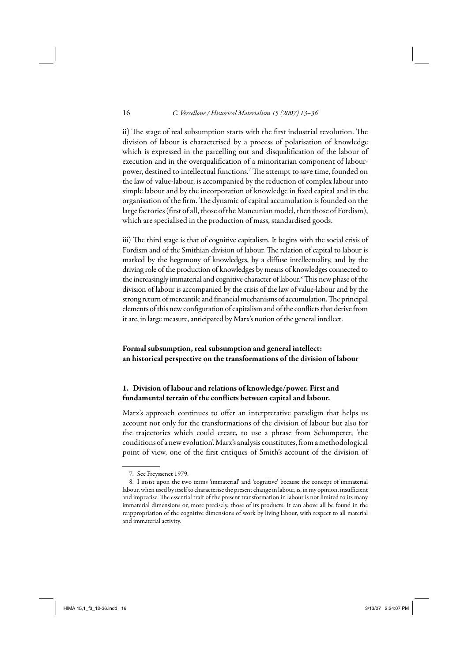ii) The stage of real subsumption starts with the first industrial revolution. The division of labour is characterised by a process of polarisation of knowledge which is expressed in the parcelling out and disqualification of the labour of execution and in the overqualification of a minoritarian component of labourpower, destined to intellectual functions.<sup>7</sup> The attempt to save time, founded on the law of value-labour, is accompanied by the reduction of complex labour into simple labour and by the incorporation of knowledge in fixed capital and in the organisation of the firm. The dynamic of capital accumulation is founded on the large factories (first of all, those of the Mancunian model, then those of Fordism), which are specialised in the production of mass, standardised goods.

iii) The third stage is that of cognitive capitalism. It begins with the social crisis of Fordism and of the Smithian division of labour. The relation of capital to labour is marked by the hegemony of knowledges, by a diffuse intellectuality, and by the driving role of the production of knowledges by means of knowledges connected to the increasingly immaterial and cognitive character of labour.<sup>8</sup> This new phase of the division of labour is accompanied by the crisis of the law of value-labour and by the strong return of mercantile and financial mechanisms of accumulation. The principal elements of this new configuration of capitalism and of the conflicts that derive from it are, in large measure, anticipated by Marx's notion of the general intellect.

# Formal subsumption, real subsumption and general intellect: an historical perspective on the transformations of the division of labour

# 1. Division of labour and relations of knowledge/power. First and fundamental terrain of the conflicts between capital and labour.

Marx's approach continues to offer an interpretative paradigm that helps us account not only for the transformations of the division of labour but also for the trajectories which could create, to use a phrase from Schumpeter, 'the conditions of a new evolution'. Marx's analysis constitutes, from a methodological point of view, one of the first critiques of Smith's account of the division of

<sup>7.</sup> See Freyssenet 1979.

<sup>8.</sup> I insist upon the two terms 'immaterial' and 'cognitive' because the concept of immaterial labour, when used by itself to characterise the present change in labour, is, in my opinion, insufficient and imprecise. The essential trait of the present transformation in labour is not limited to its many immaterial dimensions or, more precisely, those of its products. It can above all be found in the reappropriation of the cognitive dimensions of work by living labour, with respect to all material and immaterial activity.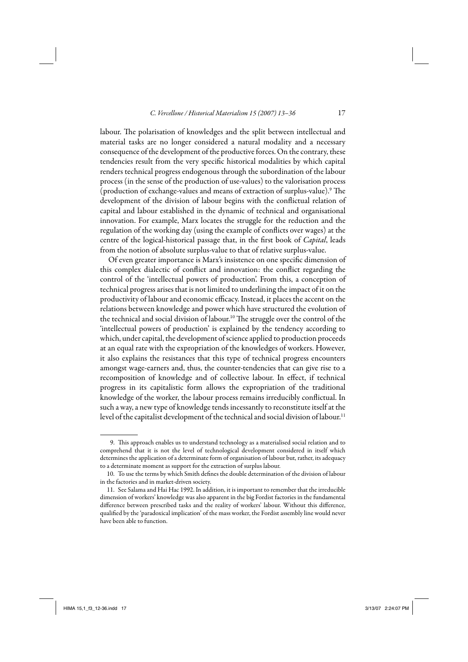labour. The polarisation of knowledges and the split between intellectual and material tasks are no longer considered a natural modality and a necessary consequence of the development of the productive forces. On the contrary, these tendencies result from the very specific historical modalities by which capital renders technical progress endogenous through the subordination of the labour process (in the sense of the production of use-values) to the valorisation process (production of exchange-values and means of extraction of surplus-value).<sup>9</sup> The development of the division of labour begins with the conflictual relation of capital and labour established in the dynamic of technical and organisational innovation. For example, Marx locates the struggle for the reduction and the regulation of the working day (using the example of conflicts over wages) at the centre of the logical-historical passage that, in the first book of *Capital*, leads from the notion of absolute surplus-value to that of relative surplus-value.

Of even greater importance is Marx's insistence on one specific dimension of this complex dialectic of conflict and innovation: the conflict regarding the control of the 'intellectual powers of production'. From this, a conception of technical progress arises that is not limited to underlining the impact of it on the productivity of labour and economic efficacy. Instead, it places the accent on the relations between knowledge and power which have structured the evolution of the technical and social division of labour.<sup>10</sup> The struggle over the control of the 'intellectual powers of production' is explained by the tendency according to which, under capital, the development of science applied to production proceeds at an equal rate with the expropriation of the knowledges of workers. However, it also explains the resistances that this type of technical progress encounters amongst wage-earners and, thus, the counter-tendencies that can give rise to a recomposition of knowledge and of collective labour. In effect, if technical progress in its capitalistic form allows the expropriation of the traditional knowledge of the worker, the labour process remains irreducibly conflictual. In such a way, a new type of knowledge tends incessantly to reconstitute itself at the level of the capitalist development of the technical and social division of labour.<sup>11</sup>

<sup>9.</sup> This approach enables us to understand technology as a materialised social relation and to comprehend that it is not the level of technological development considered in itself which determines the application of a determinate form of organisation of labour but, rather, its adequacy to a determinate moment as support for the extraction of surplus labour.

<sup>10.</sup> To use the terms by which Smith defines the double determination of the division of labour in the factories and in market-driven society.

<sup>11.</sup> See Salama and Hai Hac 1992. In addition, it is important to remember that the irreducible dimension of workers' knowledge was also apparent in the big Fordist factories in the fundamental difference between prescribed tasks and the reality of workers' labour. Without this difference, qualified by the 'paradoxical implication' of the mass worker, the Fordist assembly line would never have been able to function.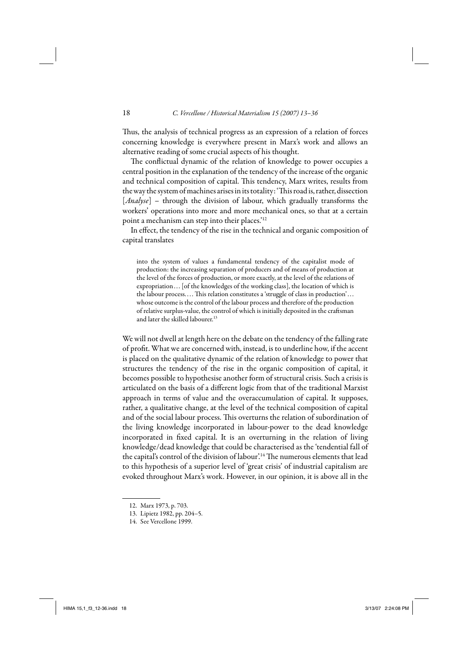Thus, the analysis of technical progress as an expression of a relation of forces concerning knowledge is everywhere present in Marx's work and allows an alternative reading of some crucial aspects of his thought.

The conflictual dynamic of the relation of knowledge to power occupies a central position in the explanation of the tendency of the increase of the organic and technical composition of capital. This tendency, Marx writes, results from the way the system of machines arises in its totality: 'This road is, rather, dissection [Analyse] - through the division of labour, which gradually transforms the workers' operations into more and more mechanical ones, so that at a certain point a mechanism can step into their places.<sup>12</sup>

In effect, the tendency of the rise in the technical and organic composition of capital translates

into the system of values a fundamental tendency of the capitalist mode of production: the increasing separation of producers and of means of production at the level of the forces of production, or more exactly, at the level of the relations of expropriation... [of the knowledges of the working class], the location of which is the labour process.... This relation constitutes a 'struggle of class in production'... whose outcome is the control of the labour process and therefore of the production of relative surplus-value, the control of which is initially deposited in the craftsman and later the skilled labourer.<sup>13</sup>

We will not dwell at length here on the debate on the tendency of the falling rate of profit. What we are concerned with, instead, is to underline how, if the accent is placed on the qualitative dynamic of the relation of knowledge to power that structures the tendency of the rise in the organic composition of capital, it becomes possible to hypothesise another form of structural crisis. Such a crisis is articulated on the basis of a different logic from that of the traditional Marxist approach in terms of value and the overaccumulation of capital. It supposes, rather, a qualitative change, at the level of the technical composition of capital and of the social labour process. This overturns the relation of subordination of the living knowledge incorporated in labour-power to the dead knowledge incorporated in fixed capital. It is an overturning in the relation of living knowledge/dead knowledge that could be characterised as the 'tendential fall of the capital's control of the division of labour'.<sup>14</sup> The numerous elements that lead to this hypothesis of a superior level of 'great crisis' of industrial capitalism are evoked throughout Marx's work. However, in our opinion, it is above all in the

13. Lipietz 1982, pp. 204-5.

<sup>12.</sup> Marx 1973, p. 703.

<sup>14.</sup> See Vercellone 1999.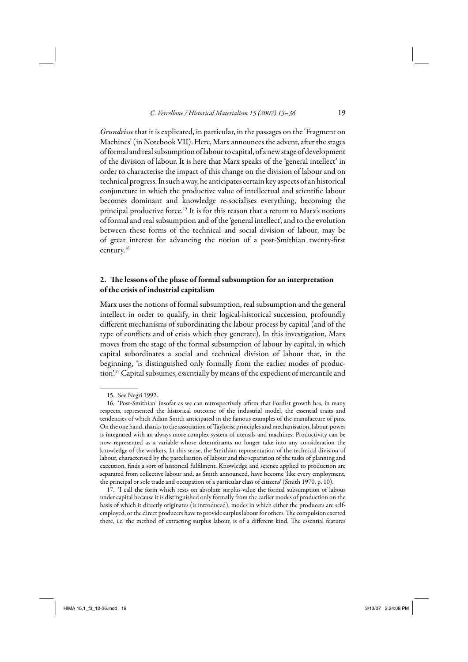Grundrisse that it is explicated, in particular, in the passages on the 'Fragment on Machines' (in Notebook VII). Here, Marx announces the advent, after the stages of formal and real subsumption of labour to capital, of a new stage of development of the division of labour. It is here that Marx speaks of the 'general intellect' in order to characterise the impact of this change on the division of labour and on technical progress. In such a way, he anticipates certain key aspects of an historical conjuncture in which the productive value of intellectual and scientific labour becomes dominant and knowledge re-socialises everything, becoming the principal productive force.<sup>15</sup> It is for this reason that a return to Marx's notions of formal and real subsumption and of the 'general intellect', and to the evolution between these forms of the technical and social division of labour, may be of great interest for advancing the notion of a post-Smithian twenty-first  $centurv<sup>16</sup>$ 

### 2. The lessons of the phase of formal subsumption for an interpretation of the crisis of industrial capitalism

Marx uses the notions of formal subsumption, real subsumption and the general intellect in order to qualify, in their logical-historical succession, profoundly different mechanisms of subordinating the labour process by capital (and of the type of conflicts and of crisis which they generate). In this investigation, Marx moves from the stage of the formal subsumption of labour by capital, in which capital subordinates a social and technical division of labour that, in the beginning, 'is distinguished only formally from the earlier modes of production'.<sup>17</sup> Capital subsumes, essentially by means of the expedient of mercantile and

17. 'I call the form which rests on absolute surplus-value the formal subsumption of labour under capital because it is distinguished only formally from the earlier modes of production on the basis of which it directly originates (is introduced), modes in which either the producers are selfemployed, or the direct producers have to provide surplus labour for others. The compulsion exerted there, i.e. the method of extracting surplus labour, is of a different kind. The essential features

<sup>15.</sup> See Negri 1992.

<sup>16. &#</sup>x27;Post-Smithian' insofar as we can retrospectively affirm that Fordist growth has, in many respects, represented the historical outcome of the industrial model, the essential traits and tendencies of which Adam Smith anticipated in the famous examples of the manufacture of pins. On the one hand, thanks to the association of Taylorist principles and mechanisation, labour-power is integrated with an always more complex system of utensils and machines. Productivity can be now represented as a variable whose determinants no longer take into any consideration the knowledge of the workers. In this sense, the Smithian representation of the technical division of labour, characterised by the parcelisation of labour and the separation of the tasks of planning and execution, finds a sort of historical fulfilment. Knowledge and science applied to production are separated from collective labour and, as Smith announced, have become 'like every employment, the principal or sole trade and occupation of a particular class of citizens' (Smith 1970, p. 10).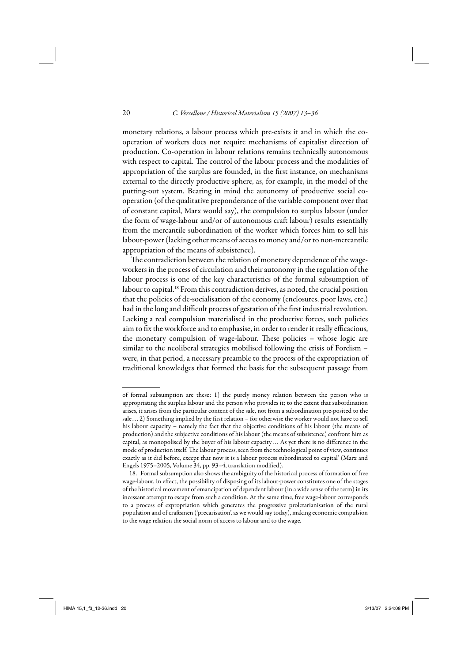monetary relations, a labour process which pre-exists it and in which the cooperation of workers does not require mechanisms of capitalist direction of production. Co-operation in labour relations remains technically autonomous with respect to capital. The control of the labour process and the modalities of appropriation of the surplus are founded, in the first instance, on mechanisms external to the directly productive sphere, as, for example, in the model of the putting-out system. Bearing in mind the autonomy of productive social cooperation (of the qualitative preponderance of the variable component over that of constant capital, Marx would say), the compulsion to surplus labour (under the form of wage-labour and/or of autonomous craft labour) results essentially from the mercantile subordination of the worker which forces him to sell his labour-power (lacking other means of access to money and/or to non-mercantile appropriation of the means of subsistence).

The contradiction between the relation of monetary dependence of the wageworkers in the process of circulation and their autonomy in the regulation of the labour process is one of the key characteristics of the formal subsumption of labour to capital.<sup>18</sup> From this contradiction derives, as noted, the crucial position that the policies of de-socialisation of the economy (enclosures, poor laws, etc.) had in the long and difficult process of gestation of the first industrial revolution. Lacking a real compulsion materialised in the productive forces, such policies aim to fix the workforce and to emphasise, in order to render it really efficacious, the monetary compulsion of wage-labour. These policies - whose logic are similar to the neoliberal strategies mobilised following the crisis of Fordism were, in that period, a necessary preamble to the process of the expropriation of traditional knowledges that formed the basis for the subsequent passage from

of formal subsumption are these: 1) the purely money relation between the person who is appropriating the surplus labour and the person who provides it; to the extent that subordination arises, it arises from the particular content of the sale, not from a subordination pre-posited to the sale... 2) Something implied by the first relation - for otherwise the worker would not have to sell his labour capacity - namely the fact that the objective conditions of his labour (the means of production) and the subjective conditions of his labour (the means of subsistence) confront him as capital, as monopolised by the buyer of his labour capacity... As yet there is no difference in the mode of production itself. The labour process, seen from the technological point of view, continues exactly as it did before, except that now it is a labour process subordinated to capital' (Marx and Engels 1975-2005, Volume 34, pp. 93-4, translation modified).

<sup>18.</sup> Formal subsumption also shows the ambiguity of the historical process of formation of free wage-labour. In effect, the possibility of disposing of its labour-power constitutes one of the stages of the historical movement of emancipation of dependent labour (in a wide sense of the term) in its incessant attempt to escape from such a condition. At the same time, free wage-labour corresponds to a process of expropriation which generates the progressive proletarianisation of the rural population and of craftsmen ('precarisation', as we would say today), making economic compulsion to the wage relation the social norm of access to labour and to the wage.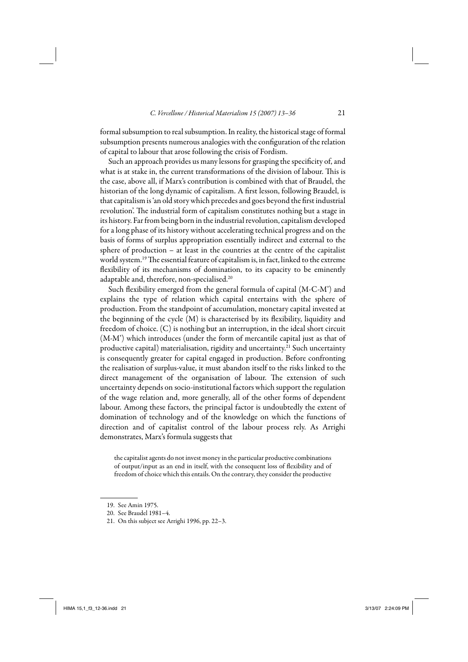formal subsumption to real subsumption. In reality, the historical stage of formal subsumption presents numerous analogies with the configuration of the relation of capital to labour that arose following the crisis of Fordism.

Such an approach provides us many lessons for grasping the specificity of, and what is at stake in, the current transformations of the division of labour. This is the case, above all, if Marx's contribution is combined with that of Braudel, the historian of the long dynamic of capitalism. A first lesson, following Braudel, is that capitalism is 'an old story which precedes and goes beyond the first industrial revolution'. The industrial form of capitalism constitutes nothing but a stage in its history. Far from being born in the industrial revolution, capitalism developed for a long phase of its history without accelerating technical progress and on the basis of forms of surplus appropriation essentially indirect and external to the sphere of production  $-$  at least in the countries at the centre of the capitalist world system.<sup>19</sup> The essential feature of capitalism is, in fact, linked to the extreme flexibility of its mechanisms of domination, to its capacity to be eminently adaptable and, therefore, non-specialised.<sup>20</sup>

Such flexibility emerged from the general formula of capital (M-C-M') and explains the type of relation which capital entertains with the sphere of production. From the standpoint of accumulation, monetary capital invested at the beginning of the cycle  $(M)$  is characterised by its flexibility, liquidity and freedom of choice. (C) is nothing but an interruption, in the ideal short circuit (M-M') which introduces (under the form of mercantile capital just as that of productive capital) materialisation, rigidity and uncertainty.<sup>21</sup> Such uncertainty is consequently greater for capital engaged in production. Before confronting the realisation of surplus-value, it must abandon itself to the risks linked to the direct management of the organisation of labour. The extension of such uncertainty depends on socio-institutional factors which support the regulation of the wage relation and, more generally, all of the other forms of dependent labour. Among these factors, the principal factor is undoubtedly the extent of domination of technology and of the knowledge on which the functions of direction and of capitalist control of the labour process rely. As Arrighi demonstrates, Marx's formula suggests that

the capitalist agents do not invest money in the particular productive combinations of output/input as an end in itself, with the consequent loss of flexibility and of freedom of choice which this entails. On the contrary, they consider the productive

<sup>19.</sup> See Amin 1975.

<sup>20.</sup> See Braudel 1981-4.

<sup>21.</sup> On this subject see Arrighi 1996, pp. 22-3.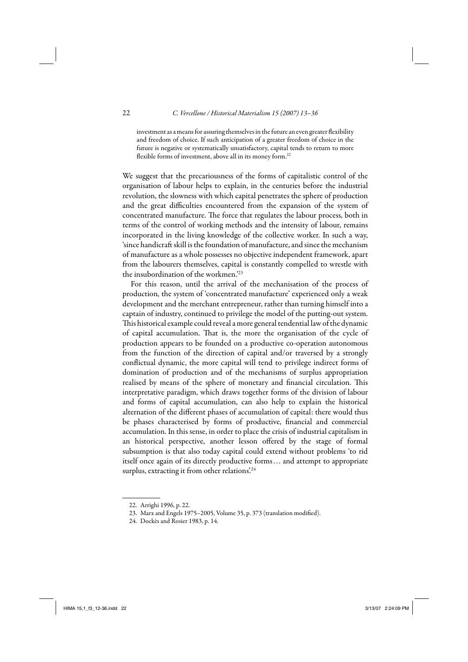investment as a means for assuring themselves in the future an even greater flexibility and freedom of choice. If such anticipation of a greater freedom of choice in the future is negative or systematically unsatisfactory, capital tends to return to more flexible forms of investment, above all in its money form.<sup>22</sup>

We suggest that the precariousness of the forms of capitalistic control of the organisation of labour helps to explain, in the centuries before the industrial revolution, the slowness with which capital penetrates the sphere of production and the great difficulties encountered from the expansion of the system of concentrated manufacture. The force that regulates the labour process, both in terms of the control of working methods and the intensity of labour, remains incorporated in the living knowledge of the collective worker. In such a way, 'since handicraft skill is the foundation of manufacture, and since the mechanism of manufacture as a whole possesses no objective independent framework, apart from the labourers themselves, capital is constantly compelled to wrestle with the insubordination of the workmen.<sup>23</sup>

For this reason, until the arrival of the mechanisation of the process of production, the system of 'concentrated manufacture' experienced only a weak development and the merchant entrepreneur, rather than turning himself into a captain of industry, continued to privilege the model of the putting-out system. This historical example could reveal a more general tendential law of the dynamic of capital accumulation. That is, the more the organisation of the cycle of production appears to be founded on a productive co-operation autonomous from the function of the direction of capital and/or traversed by a strongly conflictual dynamic, the more capital will tend to privilege indirect forms of domination of production and of the mechanisms of surplus appropriation realised by means of the sphere of monetary and financial circulation. This interpretative paradigm, which draws together forms of the division of labour and forms of capital accumulation, can also help to explain the historical alternation of the different phases of accumulation of capital: there would thus be phases characterised by forms of productive, financial and commercial accumulation. In this sense, in order to place the crisis of industrial capitalism in an historical perspective, another lesson offered by the stage of formal subsumption is that also today capital could extend without problems 'to rid itself once again of its directly productive forms... and attempt to appropriate surplus, extracting it from other relations'.<sup>24</sup>

<sup>22.</sup> Arrighi 1996, p. 22.

<sup>23.</sup> Marx and Engels 1975-2005, Volume 35, p. 373 (translation modified).

<sup>24.</sup> Dockès and Rosier 1983, p. 14.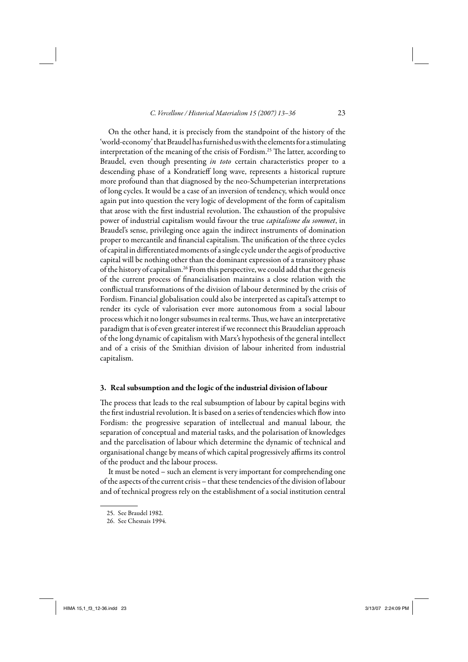On the other hand, it is precisely from the standpoint of the history of the 'world-economy' that Braudel has furnished us with the elements for a stimulating interpretation of the meaning of the crisis of Fordism.<sup>25</sup> The latter, according to Braudel, even though presenting in toto certain characteristics proper to a descending phase of a Kondratieff long wave, represents a historical rupture more profound than that diagnosed by the neo-Schumpeterian interpretations of long cycles. It would be a case of an inversion of tendency, which would once again put into question the very logic of development of the form of capitalism that arose with the first industrial revolution. The exhaustion of the propulsive power of industrial capitalism would favour the true *capitalisme du sommet*, in Braudel's sense, privileging once again the indirect instruments of domination proper to mercantile and financial capitalism. The unification of the three cycles of capital in differentiated moments of a single cycle under the aegis of productive capital will be nothing other than the dominant expression of a transitory phase of the history of capitalism.<sup>26</sup> From this perspective, we could add that the genesis of the current process of financialisation maintains a close relation with the conflictual transformations of the division of labour determined by the crisis of Fordism. Financial globalisation could also be interpreted as capital's attempt to render its cycle of valorisation ever more autonomous from a social labour process which it no longer subsumes in real terms. Thus, we have an interpretative paradigm that is of even greater interest if we reconnect this Braudelian approach of the long dynamic of capitalism with Marx's hypothesis of the general intellect and of a crisis of the Smithian division of labour inherited from industrial capitalism.

#### 3. Real subsumption and the logic of the industrial division of labour

The process that leads to the real subsumption of labour by capital begins with the first industrial revolution. It is based on a series of tendencies which flow into Fordism: the progressive separation of intellectual and manual labour, the separation of conceptual and material tasks, and the polarisation of knowledges and the parcelisation of labour which determine the dynamic of technical and organisational change by means of which capital progressively affirms its control of the product and the labour process.

It must be noted - such an element is very important for comprehending one of the aspects of the current crisis - that these tendencies of the division of labour and of technical progress rely on the establishment of a social institution central

<sup>25.</sup> See Braudel 1982.

<sup>26.</sup> See Chesnais 1994.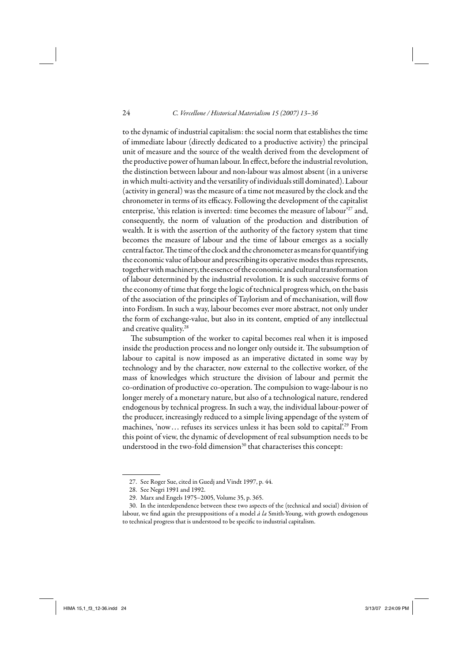to the dynamic of industrial capitalism: the social norm that establishes the time of immediate labour (directly dedicated to a productive activity) the principal unit of measure and the source of the wealth derived from the development of the productive power of human labour. In effect, before the industrial revolution, the distinction between labour and non-labour was almost absent (in a universe in which multi-activity and the versatility of individuals still dominated). Labour (activity in general) was the measure of a time not measured by the clock and the chronometer in terms of its efficacy. Following the development of the capitalist enterprise, 'this relation is inverted: time becomes the measure of labour<sup>227</sup> and, consequently, the norm of valuation of the production and distribution of wealth. It is with the assertion of the authority of the factory system that time becomes the measure of labour and the time of labour emerges as a socially central factor. The time of the clock and the chronometer as means for quantifying the economic value of labour and prescribing its operative modes thus represents, together with machinery, the essence of the economic and cultural transformation of labour determined by the industrial revolution. It is such successive forms of the economy of time that forge the logic of technical progress which, on the basis of the association of the principles of Taylorism and of mechanisation, will flow into Fordism. In such a way, labour becomes ever more abstract, not only under the form of exchange-value, but also in its content, emptied of any intellectual and creative quality.<sup>28</sup>

The subsumption of the worker to capital becomes real when it is imposed inside the production process and no longer only outside it. The subsumption of labour to capital is now imposed as an imperative dictated in some way by technology and by the character, now external to the collective worker, of the mass of knowledges which structure the division of labour and permit the co-ordination of productive co-operation. The compulsion to wage-labour is no longer merely of a monetary nature, but also of a technological nature, rendered endogenous by technical progress. In such a way, the individual labour-power of the producer, increasingly reduced to a simple living appendage of the system of machines, 'now... refuses its services unless it has been sold to capital'.<sup>29</sup> From this point of view, the dynamic of development of real subsumption needs to be understood in the two-fold dimension<sup>30</sup> that characterises this concept:

<sup>27.</sup> See Roger Sue, cited in Guedj and Vindt 1997, p. 44.

<sup>28.</sup> See Negri 1991 and 1992.

<sup>29.</sup> Marx and Engels 1975-2005, Volume 35, p. 365.

<sup>30.</sup> In the interdependence between these two aspects of the (technical and social) division of labour, we find again the presuppositions of a model  $d \, la$  Smith-Young, with growth endogenous to technical progress that is understood to be specific to industrial capitalism.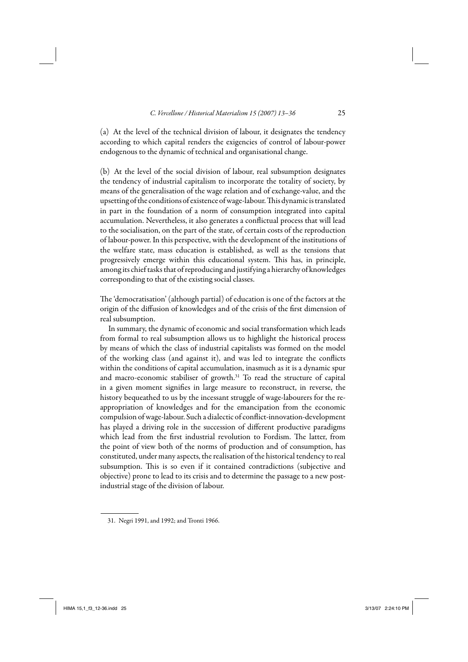(a) At the level of the technical division of labour, it designates the tendency according to which capital renders the exigencies of control of labour-power endogenous to the dynamic of technical and organisational change.

(b) At the level of the social division of labour, real subsumption designates the tendency of industrial capitalism to incorporate the totality of society, by means of the generalisation of the wage relation and of exchange-value, and the upsetting of the conditions of existence of wage-labour. This dynamic is translated in part in the foundation of a norm of consumption integrated into capital accumulation. Nevertheless, it also generates a conflictual process that will lead to the socialisation, on the part of the state, of certain costs of the reproduction of labour-power. In this perspective, with the development of the institutions of the welfare state, mass education is established, as well as the tensions that progressively emerge within this educational system. This has, in principle, among its chief tasks that of reproducing and justifying a hierarchy of knowledges corresponding to that of the existing social classes.

The 'democratisation' (although partial) of education is one of the factors at the origin of the diffusion of knowledges and of the crisis of the first dimension of real subsumption.

In summary, the dynamic of economic and social transformation which leads from formal to real subsumption allows us to highlight the historical process by means of which the class of industrial capitalists was formed on the model of the working class (and against it), and was led to integrate the conflicts within the conditions of capital accumulation, inasmuch as it is a dynamic spur and macro-economic stabiliser of growth.<sup>31</sup> To read the structure of capital in a given moment signifies in large measure to reconstruct, in reverse, the history bequeathed to us by the incessant struggle of wage-labourers for the reappropriation of knowledges and for the emancipation from the economic compulsion of wage-labour. Such a dialectic of conflict-innovation-development has played a driving role in the succession of different productive paradigms which lead from the first industrial revolution to Fordism. The latter, from the point of view both of the norms of production and of consumption, has constituted, under many aspects, the realisation of the historical tendency to real subsumption. This is so even if it contained contradictions (subjective and objective) prone to lead to its crisis and to determine the passage to a new postindustrial stage of the division of labour.

<sup>31.</sup> Negri 1991, and 1992; and Tronti 1966.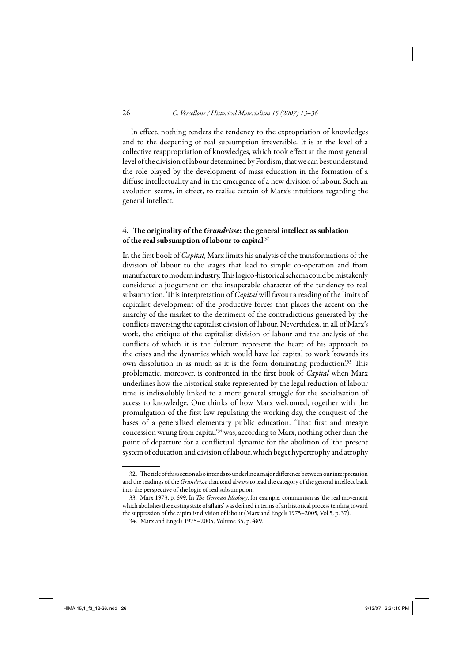In effect, nothing renders the tendency to the expropriation of knowledges and to the deepening of real subsumption irreversible. It is at the level of a collective reappropriation of knowledges, which took effect at the most general level of the division of labour determined by Fordism, that we can best understand the role played by the development of mass education in the formation of a diffuse intellectuality and in the emergence of a new division of labour. Such an evolution seems, in effect, to realise certain of Marx's intuitions regarding the general intellect.

#### 4. The originality of the Grundrisse: the general intellect as sublation of the real subsumption of labour to capital<sup>32</sup>

In the first book of *Capital*, Marx limits his analysis of the transformations of the division of labour to the stages that lead to simple co-operation and from manufacture to modern industry. This logico-historical schema could be mistakenly considered a judgement on the insuperable character of the tendency to real subsumption. This interpretation of  $\tilde{C}_{\text{a}pital}$  will favour a reading of the limits of capitalist development of the productive forces that places the accent on the anarchy of the market to the detriment of the contradictions generated by the conflicts traversing the capitalist division of labour. Nevertheless, in all of Marx's work, the critique of the capitalist division of labour and the analysis of the conflicts of which it is the fulcrum represent the heart of his approach to the crises and the dynamics which would have led capital to work 'towards its own dissolution in as much as it is the form dominating production.<sup>33</sup> This problematic, moreover, is confronted in the first book of *Capital* when Marx underlines how the historical stake represented by the legal reduction of labour time is indissolubly linked to a more general struggle for the socialisation of access to knowledge. One thinks of how Marx welcomed, together with the promulgation of the first law regulating the working day, the conquest of the bases of a generalised elementary public education. 'That first and meagre concession wrung from capital'<sup>34</sup> was, according to Marx, nothing other than the point of departure for a conflictual dynamic for the abolition of 'the present system of education and division of labour, which beget hypertrophy and atrophy

<sup>32.</sup> The title of this section also intends to underline a major difference between our interpretation and the readings of the Grundrisse that tend always to lead the category of the general intellect back into the perspective of the logic of real subsumption.

<sup>33.</sup> Marx 1973, p. 699. In *The German Ideology*, for example, communism as 'the real movement which abolishes the existing state of affairs' was defined in terms of an historical process tending toward the suppression of the capitalist division of labour (Marx and Engels 1975-2005, Vol 5, p. 37).

<sup>34.</sup> Marx and Engels 1975-2005, Volume 35, p. 489.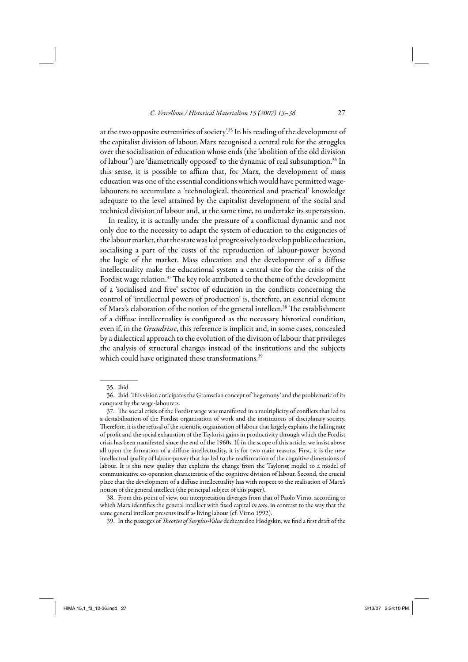at the two opposite extremities of society.<sup>35</sup> In his reading of the development of the capitalist division of labour, Marx recognised a central role for the struggles over the socialisation of education whose ends (the 'abolition of the old division of labour') are 'diametrically opposed' to the dynamic of real subsumption.<sup>36</sup> In this sense, it is possible to affirm that, for Marx, the development of mass education was one of the essential conditions which would have permitted wagelabourers to accumulate a 'technological, theoretical and practical' knowledge adequate to the level attained by the capitalist development of the social and technical division of labour and, at the same time, to undertake its supersession.

In reality, it is actually under the pressure of a conflictual dynamic and not only due to the necessity to adapt the system of education to the exigencies of the labour market, that the state was led progressively to develop public education, socialising a part of the costs of the reproduction of labour-power beyond the logic of the market. Mass education and the development of a diffuse intellectuality make the educational system a central site for the crisis of the Fordist wage relation.<sup>37</sup> The key role attributed to the theme of the development of a 'socialised and free' sector of education in the conflicts concerning the control of 'intellectual powers of production' is, therefore, an essential element of Marx's elaboration of the notion of the general intellect.<sup>38</sup> The establishment of a diffuse intellectuality is configured as the necessary historical condition, even if, in the Grundrisse, this reference is implicit and, in some cases, concealed by a dialectical approach to the evolution of the division of labour that privileges the analysis of structural changes instead of the institutions and the subjects which could have originated these transformations.<sup>39</sup>

38. From this point of view, our interpretation diverges from that of Paolo Virno, according to which Marx identifies the general intellect with fixed capital in toto, in contrast to the way that the same general intellect presents itself as living labour (cf. Virno 1992).

39. In the passages of Theories of Surplus-Value dedicated to Hodgskin, we find a first draft of the

<sup>35.</sup> Ibid.

<sup>36.</sup> Ibid. This vision anticipates the Gramscian concept of 'hegemony' and the problematic of its conquest by the wage-labourers.

<sup>37.</sup> The social crisis of the Fordist wage was manifested in a multiplicity of conflicts that led to a destabilisation of the Fordist organisation of work and the institutions of disciplinary society. Therefore, it is the refusal of the scientific organisation of labour that largely explains the falling rate of profit and the social exhaustion of the Taylorist gains in productivity through which the Fordist crisis has been manifested since the end of the 1960s. If, in the scope of this article, we insist above all upon the formation of a diffuse intellectuality, it is for two main reasons. First, it is the new intellectual quality of labour-power that has led to the reaffirmation of the cognitive dimensions of labour. It is this new quality that explains the change from the Taylorist model to a model of communicative co-operation characteristic of the cognitive division of labour. Second, the crucial place that the development of a diffuse intellectuality has with respect to the realisation of Marx's notion of the general intellect (the principal subject of this paper).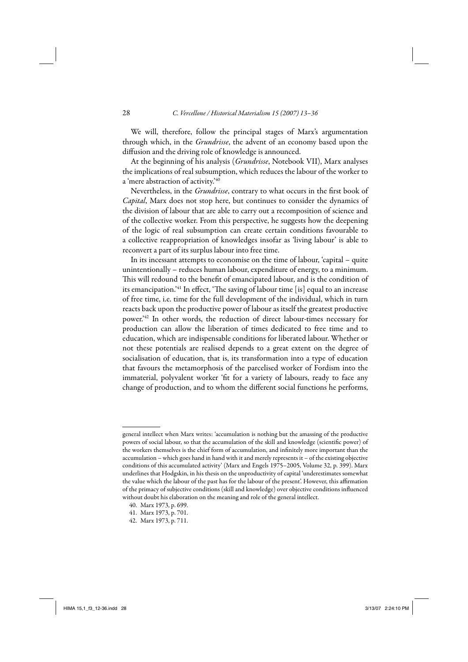We will, therefore, follow the principal stages of Marx's argumentation through which, in the *Grundrisse*, the advent of an economy based upon the diffusion and the driving role of knowledge is announced.

At the beginning of his analysis (Grundrisse, Notebook VII), Marx analyses the implications of real subsumption, which reduces the labour of the worker to a 'mere abstraction of activity.'40

Nevertheless, in the *Grundrisse*, contrary to what occurs in the first book of Capital, Marx does not stop here, but continues to consider the dynamics of the division of labour that are able to carry out a recomposition of science and of the collective worker. From this perspective, he suggests how the deepening of the logic of real subsumption can create certain conditions favourable to a collective reappropriation of knowledges insofar as 'living labour' is able to reconvert a part of its surplus labour into free time.

In its incessant attempts to economise on the time of labour, 'capital - quite unintentionally - reduces human labour, expenditure of energy, to a minimum. This will redound to the benefit of emancipated labour, and is the condition of its emancipation.<sup>241</sup> In effect, 'The saving of labour time [is] equal to an increase of free time, i.e. time for the full development of the individual, which in turn reacts back upon the productive power of labour as itself the greatest productive power.<sup>'42</sup> In other words, the reduction of direct labour-times necessary for production can allow the liberation of times dedicated to free time and to education, which are indispensable conditions for liberated labour. Whether or not these potentials are realised depends to a great extent on the degree of socialisation of education, that is, its transformation into a type of education that favours the metamorphosis of the parcelised worker of Fordism into the immaterial, polyvalent worker 'fit for a variety of labours, ready to face any change of production, and to whom the different social functions he performs,

general intellect when Marx writes: 'accumulation is nothing but the amassing of the productive powers of social labour, so that the accumulation of the skill and knowledge (scientific power) of the workers themselves is the chief form of accumulation, and infinitely more important than the accumulation - which goes hand in hand with it and merely represents it - of the existing objective conditions of this accumulated activity' (Marx and Engels 1975-2005, Volume 32, p. 399). Marx underlines that Hodgskin, in his thesis on the unproductivity of capital 'underestimates somewhat the value which the labour of the past has for the labour of the present'. However, this affirmation of the primacy of subjective conditions (skill and knowledge) over objective conditions influenced without doubt his elaboration on the meaning and role of the general intellect.

<sup>40.</sup> Marx 1973, p. 699.

<sup>41.</sup> Marx 1973, p. 701.

<sup>42.</sup> Marx 1973, p. 711.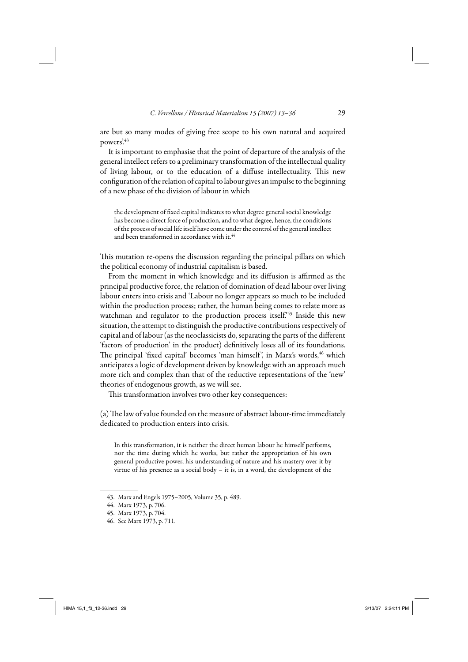are but so many modes of giving free scope to his own natural and acquired powers'.43

It is important to emphasise that the point of departure of the analysis of the general intellect refers to a preliminary transformation of the intellectual quality of living labour, or to the education of a diffuse intellectuality. This new configuration of the relation of capital to labour gives an impulse to the beginning of a new phase of the division of labour in which

the development of fixed capital indicates to what degree general social knowledge has become a direct force of production, and to what degree, hence, the conditions of the process of social life itself have come under the control of the general intellect and been transformed in accordance with it.<sup>44</sup>

This mutation re-opens the discussion regarding the principal pillars on which the political economy of industrial capitalism is based.

From the moment in which knowledge and its diffusion is affirmed as the principal productive force, the relation of domination of dead labour over living labour enters into crisis and 'Labour no longer appears so much to be included within the production process; rather, the human being comes to relate more as watchman and regulator to the production process itself.<sup>245</sup> Inside this new situation, the attempt to distinguish the productive contributions respectively of capital and of labour (as the neoclassicists do, separating the parts of the different 'factors of production' in the product) definitively loses all of its foundations. The principal 'fixed capital' becomes 'man himself', in Marx's words,<sup>46</sup> which anticipates a logic of development driven by knowledge with an approach much more rich and complex than that of the reductive representations of the 'new' theories of endogenous growth, as we will see.

This transformation involves two other key consequences:

(a) The law of value founded on the measure of abstract labour-time immediately dedicated to production enters into crisis.

In this transformation, it is neither the direct human labour he himself performs, nor the time during which he works, but rather the appropriation of his own general productive power, his understanding of nature and his mastery over it by virtue of his presence as a social body - it is, in a word, the development of the

<sup>43.</sup> Marx and Engels 1975-2005, Volume 35, p. 489.

<sup>44.</sup> Marx 1973, p. 706.

<sup>45.</sup> Marx 1973, p. 704.

<sup>46.</sup> See Marx 1973, p. 711.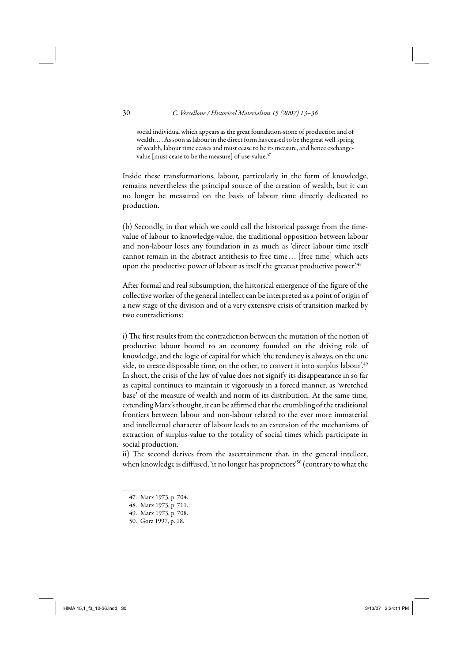social individual which appears as the great foundation-stone of production and of wealth.... As soon as labour in the direct form has ceased to be the great well-spring of wealth, labour time ceases and must cease to be its measure, and hence exchangevalue [must cease to be the measure] of use-value.<sup>47</sup>

Inside these transformations, labour, particularly in the form of knowledge, remains nevertheless the principal source of the creation of wealth, but it can no longer be measured on the basis of labour time directly dedicated to production.

(b) Secondly, in that which we could call the historical passage from the timevalue of labour to knowledge-value, the traditional opposition between labour and non-labour loses any foundation in as much as 'direct labour time itself cannot remain in the abstract antithesis to free time... [free time] which acts upon the productive power of labour as itself the greatest productive power'.48

After formal and real subsumption, the historical emergence of the figure of the collective worker of the general intellect can be interpreted as a point of origin of a new stage of the division and of a very extensive crisis of transition marked by two contradictions:

i) The first results from the contradiction between the mutation of the notion of productive labour bound to an economy founded on the driving role of knowledge, and the logic of capital for which 'the tendency is always, on the one side, to create disposable time, on the other, to convert it into surplus labour.<sup>49</sup> In short, the crisis of the law of value does not signify its disappearance in so far as capital continues to maintain it vigorously in a forced manner, as 'wretched base' of the measure of wealth and norm of its distribution. At the same time, extending Marx's thought, it can be affirmed that the crumbling of the traditional frontiers between labour and non-labour related to the ever more immaterial and intellectual character of labour leads to an extension of the mechanisms of extraction of surplus-value to the totality of social times which participate in social production.

ii) The second derives from the ascertainment that, in the general intellect, when knowledge is diffused, 'it no longer has proprietors'<sup>50</sup> (contrary to what the

<sup>47.</sup> Marx 1973, p. 704.

<sup>48.</sup> Marx 1973, p. 711.

<sup>49.</sup> Marx 1973, p. 708.

<sup>50.</sup> Gorz 1997, p. 18.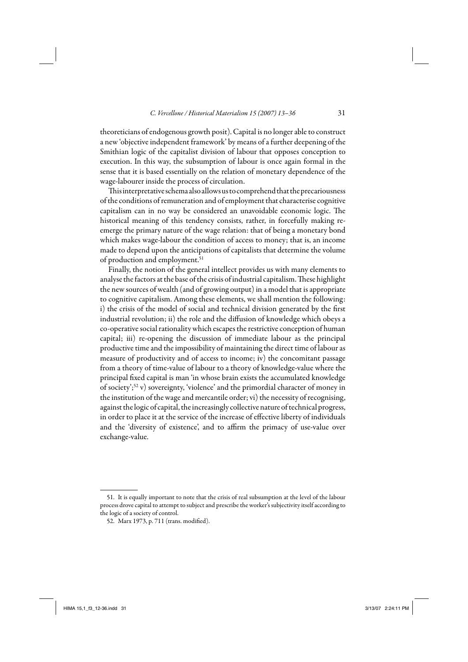theoreticians of endogenous growth posit). Capital is no longer able to construct a new 'objective independent framework' by means of a further deepening of the Smithian logic of the capitalist division of labour that opposes conception to execution. In this way, the subsumption of labour is once again formal in the sense that it is based essentially on the relation of monetary dependence of the wage-labourer inside the process of circulation.

This interpretative schema also allows us to comprehend that the precariousness of the conditions of remuneration and of employment that characterise cognitive capitalism can in no way be considered an unavoidable economic logic. The historical meaning of this tendency consists, rather, in forcefully making reemerge the primary nature of the wage relation: that of being a monetary bond which makes wage-labour the condition of access to money; that is, an income made to depend upon the anticipations of capitalists that determine the volume of production and employment.<sup>51</sup>

Finally, the notion of the general intellect provides us with many elements to analyse the factors at the base of the crisis of industrial capitalism. These highlight the new sources of wealth (and of growing output) in a model that is appropriate to cognitive capitalism. Among these elements, we shall mention the following: i) the crisis of the model of social and technical division generated by the first industrial revolution; ii) the role and the diffusion of knowledge which obeys a co-operative social rationality which escapes the restrictive conception of human capital; iii) re-opening the discussion of immediate labour as the principal productive time and the impossibility of maintaining the direct time of labour as measure of productivity and of access to income; iv) the concomitant passage from a theory of time-value of labour to a theory of knowledge-value where the principal fixed capital is man 'in whose brain exists the accumulated knowledge of society';<sup>52</sup> v) sovereignty, 'violence' and the primordial character of money in the institution of the wage and mercantile order; vi) the necessity of recognising, against the logic of capital, the increasingly collective nature of technical progress, in order to place it at the service of the increase of effective liberty of individuals and the 'diversity of existence', and to affirm the primacy of use-value over exchange-value.

<sup>51.</sup> It is equally important to note that the crisis of real subsumption at the level of the labour process drove capital to attempt to subject and prescribe the worker's subjectivity itself according to the logic of a society of control.

<sup>52.</sup> Marx 1973, p. 711 (trans. modified).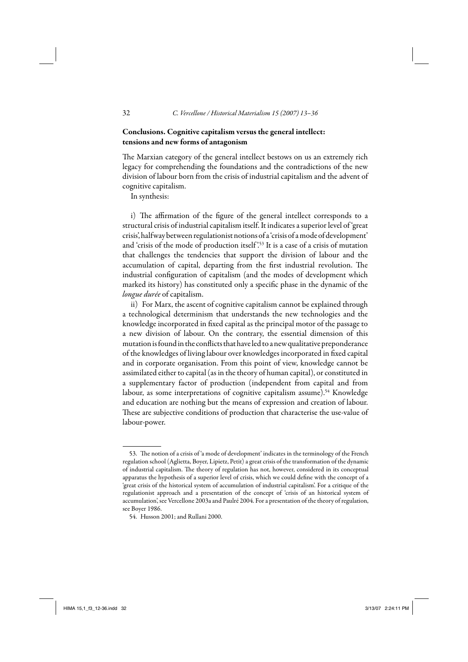# Conclusions. Cognitive capitalism versus the general intellect: tensions and new forms of antagonism

The Marxian category of the general intellect bestows on us an extremely rich legacy for comprehending the foundations and the contradictions of the new division of labour born from the crisis of industrial capitalism and the advent of cognitive capitalism.

In synthesis:

i) The affirmation of the figure of the general intellect corresponds to a structural crisis of industrial capitalism itself. It indicates a superior level of 'great crisis', halfway between regulationist notions of a 'crisis of a mode of development' and 'crisis of the mode of production itself'.<sup>53</sup> It is a case of a crisis of mutation that challenges the tendencies that support the division of labour and the accumulation of capital, departing from the first industrial revolution. The industrial configuration of capitalism (and the modes of development which marked its history) has constituted only a specific phase in the dynamic of the longue durée of capitalism.

ii) For Marx, the ascent of cognitive capitalism cannot be explained through a technological determinism that understands the new technologies and the knowledge incorporated in fixed capital as the principal motor of the passage to a new division of labour. On the contrary, the essential dimension of this mutation is found in the conflicts that have led to a new qualitative preponderance of the knowledges of living labour over knowledges incorporated in fixed capital and in corporate organisation. From this point of view, knowledge cannot be assimilated either to capital (as in the theory of human capital), or constituted in a supplementary factor of production (independent from capital and from labour, as some interpretations of cognitive capitalism assume).<sup>54</sup> Knowledge and education are nothing but the means of expression and creation of labour. These are subjective conditions of production that characterise the use-value of labour-power.

<sup>53.</sup> The notion of a crisis of 'a mode of development' indicates in the terminology of the French regulation school (Aglietta, Boyer, Lipietz, Petit) a great crisis of the transformation of the dynamic of industrial capitalism. The theory of regulation has not, however, considered in its conceptual apparatus the hypothesis of a superior level of crisis, which we could define with the concept of a great crisis of the historical system of accumulation of industrial capitalism. For a critique of the regulationist approach and a presentation of the concept of 'crisis of an historical system of accumulation', see Vercellone 2003a and Paulré 2004. For a presentation of the theory of regulation, see Boyer 1986.

<sup>54.</sup> Husson 2001: and Rullani 2000.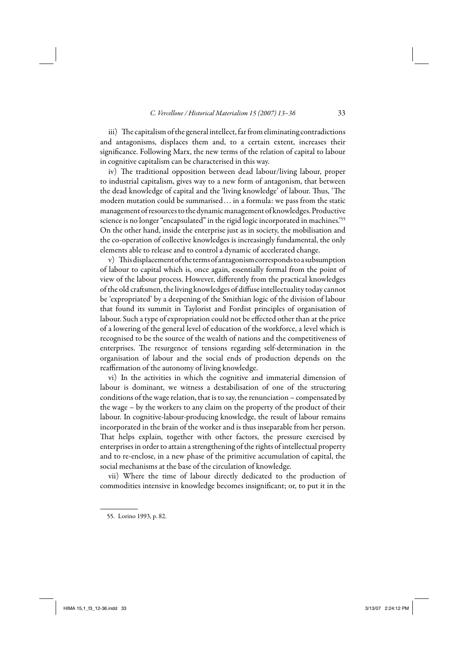33

iii) The capitalism of the general intellect, far from eliminating contradictions and antagonisms, displaces them and, to a certain extent, increases their significance. Following Marx, the new terms of the relation of capital to labour in cognitive capitalism can be characterised in this way.

iv) The traditional opposition between dead labour/living labour, proper to industrial capitalism, gives way to a new form of antagonism, that between the dead knowledge of capital and the 'living knowledge' of labour. Thus, 'The modern mutation could be summarised ... in a formula: we pass from the static management of resources to the dynamic management of knowledges. Productive science is no longer "encapsulated" in the rigid logic incorporated in machines.'55 On the other hand, inside the enterprise just as in society, the mobilisation and the co-operation of collective knowledges is increasingly fundamental, the only elements able to release and to control a dynamic of accelerated change.

v) This displacement of the terms of antagonism corresponds to a subsumption of labour to capital which is, once again, essentially formal from the point of view of the labour process. However, differently from the practical knowledges of the old craftsmen, the living knowledges of diffuse intellectuality today cannot be 'expropriated' by a deepening of the Smithian logic of the division of labour that found its summit in Taylorist and Fordist principles of organisation of labour. Such a type of expropriation could not be effected other than at the price of a lowering of the general level of education of the workforce, a level which is recognised to be the source of the wealth of nations and the competitiveness of enterprises. The resurgence of tensions regarding self-determination in the organisation of labour and the social ends of production depends on the reaffirmation of the autonomy of living knowledge.

vi) In the activities in which the cognitive and immaterial dimension of labour is dominant, we witness a destabilisation of one of the structuring conditions of the wage relation, that is to say, the renunciation - compensated by the wage - by the workers to any claim on the property of the product of their labour. In cognitive-labour-producing knowledge, the result of labour remains incorporated in the brain of the worker and is thus inseparable from her person. That helps explain, together with other factors, the pressure exercised by enterprises in order to attain a strengthening of the rights of intellectual property and to re-enclose, in a new phase of the primitive accumulation of capital, the social mechanisms at the base of the circulation of knowledge.

vii) Where the time of labour directly dedicated to the production of commodities intensive in knowledge becomes insignificant; or, to put it in the

<sup>55.</sup> Lorino 1993, p. 82.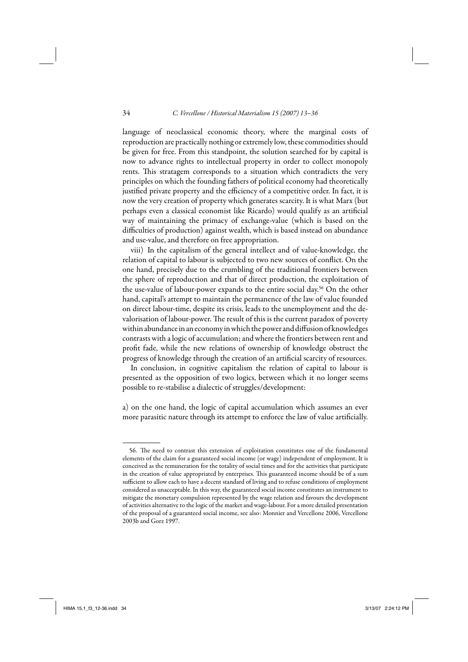language of neoclassical economic theory, where the marginal costs of reproduction are practically nothing or extremely low, these commodities should be given for free. From this standpoint, the solution searched for by capital is now to advance rights to intellectual property in order to collect monopoly rents. This stratagem corresponds to a situation which contradicts the very principles on which the founding fathers of political economy had theoretically justified private property and the efficiency of a competitive order. In fact, it is now the very creation of property which generates scarcity. It is what Marx (but perhaps even a classical economist like Ricardo) would qualify as an artificial way of maintaining the primacy of exchange-value (which is based on the difficulties of production) against wealth, which is based instead on abundance and use-value, and therefore on free appropriation.

viii) In the capitalism of the general intellect and of value-knowledge, the relation of capital to labour is subjected to two new sources of conflict. On the one hand, precisely due to the crumbling of the traditional frontiers between the sphere of reproduction and that of direct production, the exploitation of the use-value of labour-power expands to the entire social day.<sup>56</sup> On the other hand, capital's attempt to maintain the permanence of the law of value founded on direct labour-time, despite its crisis, leads to the unemployment and the devalorisation of labour-power. The result of this is the current paradox of poverty within abundance in an economy in which the power and diffusion of knowledges contrasts with a logic of accumulation; and where the frontiers between rent and profit fade, while the new relations of ownership of knowledge obstruct the progress of knowledge through the creation of an artificial scarcity of resources.

In conclusion, in cognitive capitalism the relation of capital to labour is presented as the opposition of two logics, between which it no longer seems possible to re-stabilise a dialectic of struggles/development:

a) on the one hand, the logic of capital accumulation which assumes an ever more parasitic nature through its attempt to enforce the law of value artificially.

<sup>56.</sup> The need to contrast this extension of exploitation constitutes one of the fundamental elements of the claim for a guaranteed social income (or wage) independent of employment. It is conceived as the remuneration for the totality of social times and for the activities that participate in the creation of value appropriated by enterprises. This guaranteed income should be of a sum sufficient to allow each to have a decent standard of living and to refuse conditions of employment considered as unacceptable. In this way, the guaranteed social income constitutes an instrument to mitigate the monetary compulsion represented by the wage relation and favours the development of activities alternative to the logic of the market and wage-labour. For a more detailed presentation of the proposal of a guaranteed social income, see also: Monnier and Vercellone 2006, Vercellone 2003b and Gorz 1997.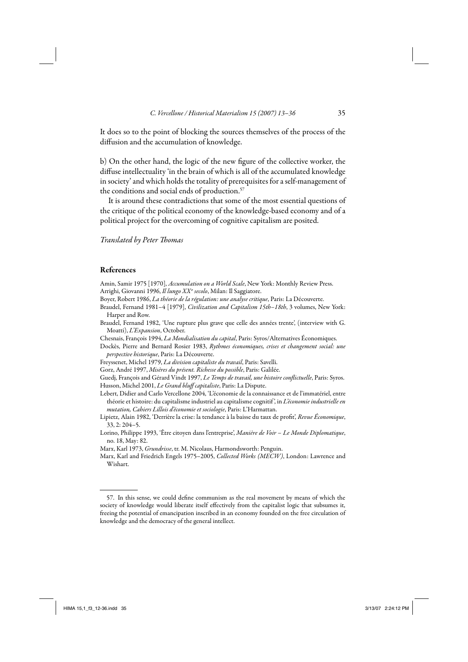It does so to the point of blocking the sources themselves of the process of the diffusion and the accumulation of knowledge.

b) On the other hand, the logic of the new figure of the collective worker, the diffuse intellectuality 'in the brain of which is all of the accumulated knowledge in society' and which holds the totality of prerequisites for a self-management of the conditions and social ends of production.<sup>57</sup>

It is around these contradictions that some of the most essential questions of the critique of the political economy of the knowledge-based economy and of a political project for the overcoming of cognitive capitalism are posited.

Translated by Peter Thomas

#### References

Amin, Samir 1975 [1970], Accumulation on a World Scale, New York: Monthly Review Press. Arrighi, Giovanni 1996, Il lungo XX<sup>o</sup> secolo, Milan: Il Saggiatore.

- Boyer, Robert 1986, La théorie de la régulation: une analyse critique, Paris: La Découverte.
- Braudel, Fernand 1981-4 [1979], Civilization and Capitalism 15th-18th, 3 volumes, New York: Harper and Row.
- Braudel, Fernand 1982, 'Une rupture plus grave que celle des années trente', (interview with G. Moatti), L'Expansion, October.
- Chesnais, François 1994, La Mondialisation du capital, Paris: Syros/Alternatives Économiques.
- Dockès, Pierre and Bernard Rosier 1983, Rythmes économiques, crises et changement social: une perspective historique, Paris: La Découverte.
- Freyssenet, Michel 1979, La division capitaliste du travail, Paris: Savelli.
- Gorz, André 1997, Misères du présent. Richesse du possible, Paris: Galilée.
- Guedj, François and Gérard Vindt 1997, Le Temps de travail, une histoire conflictuelle, Paris: Syros. Husson, Michel 2001, Le Grand bluff capitaliste, Paris: La Dispute.
- Lebert, Didier and Carlo Vercellone 2004, 'L'économie de la connaissance et de l'immatériel, entre théorie et histoire: du capitalisme industriel au capitalisme cognitif', in L'économie industrielle en mutation, Cahiers Lillois d'économie et sociologie, Paris: L'Harmattan.
- Lipietz, Alain 1982, 'Derrière la crise: la tendance à la baisse du taux de profit', Revue Économique,  $33, 2: 204 - 5.$
- Lorino, Philippe 1993, 'Être citoyen dans l'entreprise', Manière de Voir Le Monde Diplomatique, no. 18, May: 82.
- Marx, Karl 1973, Grundrisse, tr. M. Nicolaus, Harmondsworth: Penguin.
- Marx, Karl and Friedrich Engels 1975-2005, Collected Works (MECW), London: Lawrence and Wishart.

<sup>57.</sup> In this sense, we could define communism as the real movement by means of which the society of knowledge would liberate itself effectively from the capitalist logic that subsumes it, freeing the potential of emancipation inscribed in an economy founded on the free circulation of knowledge and the democracy of the general intellect.